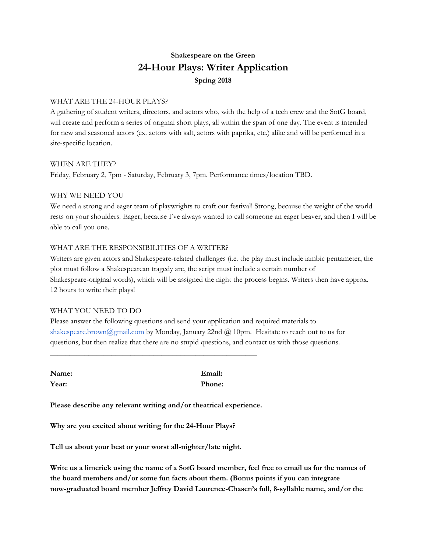# **Shakespeare on the Green 24-Hour Plays: Writer Application Spring 2018**

### WHAT ARE THE 24-HOUR PLAYS?

A gathering of student writers, directors, and actors who, with the help of a tech crew and the SotG board, will create and perform a series of original short plays, all within the span of one day. The event is intended for new and seasoned actors (ex. actors with salt, actors with paprika, etc.) alike and will be performed in a site-specific location.

#### WHEN ARE THEY?

Friday, February 2, 7pm - Saturday, February 3, 7pm. Performance times/location TBD.

#### WHY WE NEED YOU

We need a strong and eager team of playwrights to craft our festival! Strong, because the weight of the world rests on your shoulders. Eager, because I've always wanted to call someone an eager beaver, and then I will be able to call you one.

## WHAT ARE THE RESPONSIBILITIES OF A WRITER?

Writers are given actors and Shakespeare-related challenges (i.e. the play must include iambic pentameter, the plot must follow a Shakespearean tragedy arc, the script must include a certain number of Shakespeare-original words), which will be assigned the night the process begins. Writers then have approx. 12 hours to write their plays!

#### WHAT YOU NEED TO DO

Please answer the following questions and send your application and required materials to [shakespeare.brown@gmail.com](mailto:shakespeare.brown@gmail.com) by Monday, January 22nd @ 10pm. Hesitate to reach out to us for questions, but then realize that there are no stupid questions, and contact us with those questions.

**Name: Email: Year: Phone:**

**Please describe any relevant writing and/or theatrical experience.**

\_\_\_\_\_\_\_\_\_\_\_\_\_\_\_\_\_\_\_\_\_\_\_\_\_\_\_\_\_\_\_\_\_\_\_\_\_\_\_\_\_\_\_\_\_\_\_\_\_\_\_\_\_\_

**Why are you excited about writing for the 24-Hour Plays?**

**Tell us about your best or your worst all-nighter/late night.**

Write us a limerick using the name of a SotG board member, feel free to email us for the names of **the board members and/or some fun facts about them. (Bonus points if you can integrate now-graduated board member Jeffrey David Laurence-Chasen's full, 8-syllable name, and/or the**